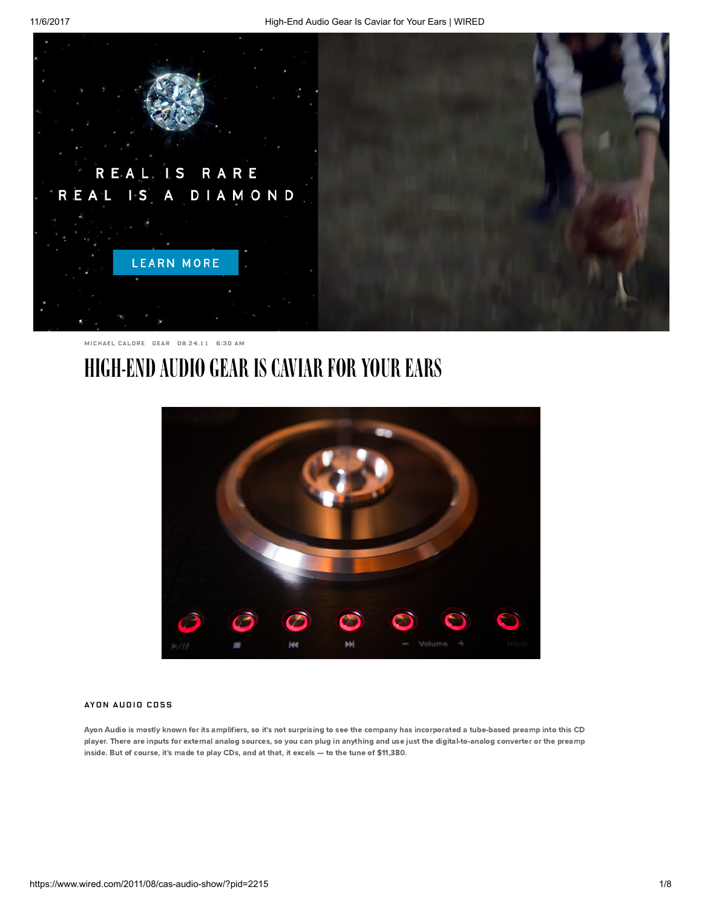

[MICHAEL](https://www.wired.com/author/snackfight/) CALORE [GEAR](https://www.wired.com/category/gear/) 08.24.11 6:30 AM

## HIGH-END AUDIO GEAR IS CAVIAR FOR YOUR EARS



## AYON AUDIO CD5S

Ayon [Audio](http://www.ayonaudio.com/) is mostly known for its amplifiers, so it's not surprising to see the company has incorporated a tube-based preamp into this CD player. There are inputs for external analog sources, so you can plug in anything and use just the digital-to-analog converter or the preamp inside. But of course, it's made to play CDs, and at that, it excels — to the tune of \$11,380.